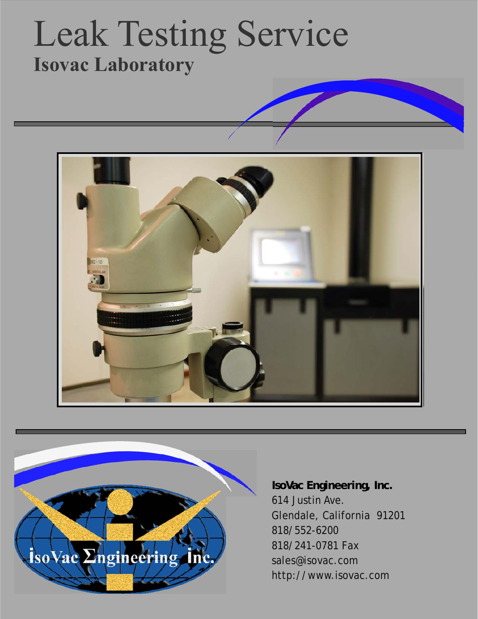## Leak Testing Service **Isovac Laboratory**





**IsoVac Engineering, Inc.**  614 Justin Ave. Glendale, California 91201 818/552-6200 818/241-0781 Fax sales@isovac.com http://www.isovac.com